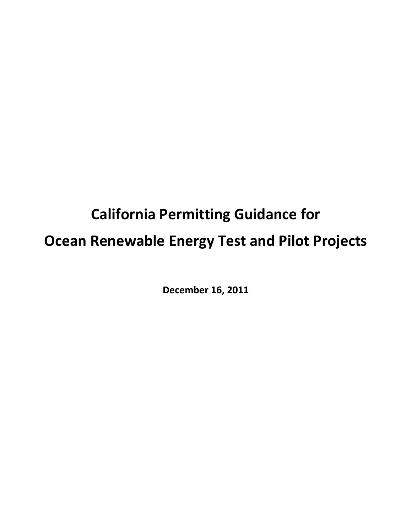# **California Permitting Guidance for Ocean Renewable Energy Test and Pilot Projects**

**December 16, 2011**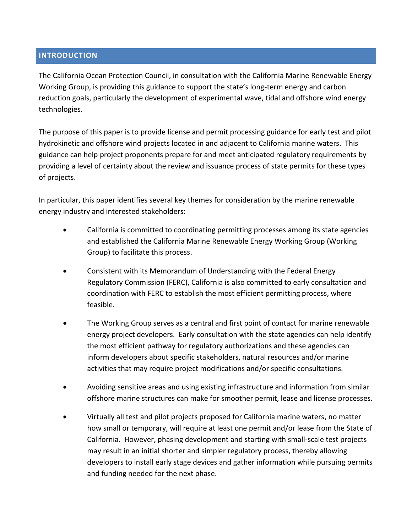### **INTRODUCTION**

The California Ocean Protection Council, in consultation with the California Marine Renewable Energy Working Group, is providing this guidance to support the state's long-term energy and carbon reduction goals, particularly the development of experimental wave, tidal and offshore wind energy technologies.

The purpose of this paper is to provide license and permit processing guidance for early test and pilot hydrokinetic and offshore wind projects located in and adjacent to California marine waters. This guidance can help project proponents prepare for and meet anticipated regulatory requirements by providing a level of certainty about the review and issuance process of state permits for these types of projects.

In particular, this paper identifies several key themes for consideration by the marine renewable energy industry and interested stakeholders:

- California is committed to coordinating permitting processes among its state agencies and established the California Marine Renewable Energy Working Group (Working Group) to facilitate this process.
- Consistent with its Memorandum of Understanding with the Federal Energy Regulatory Commission (FERC), California is also committed to early consultation and coordination with FERC to establish the most efficient permitting process, where feasible.
- The Working Group serves as a central and first point of contact for marine renewable energy project developers. Early consultation with the state agencies can help identify the most efficient pathway for regulatory authorizations and these agencies can inform developers about specific stakeholders, natural resources and/or marine activities that may require project modifications and/or specific consultations.
- Avoiding sensitive areas and using existing infrastructure and information from similar offshore marine structures can make for smoother permit, lease and license processes.
- Virtually all test and pilot projects proposed for California marine waters, no matter how small or temporary, will require at least one permit and/or lease from the State of California. However, phasing development and starting with small-scale test projects may result in an initial shorter and simpler regulatory process, thereby allowing developers to install early stage devices and gather information while pursuing permits and funding needed for the next phase.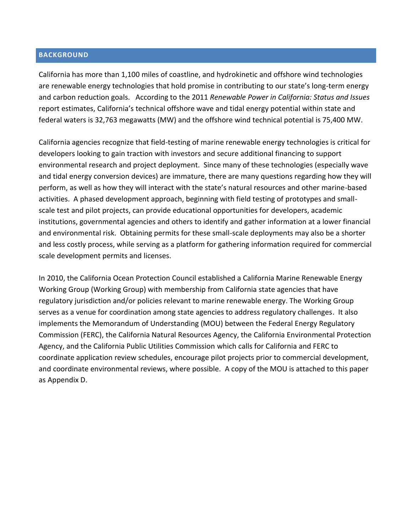#### **BACKGROUND**

California has more than 1,100 miles of coastline, and hydrokinetic and offshore wind technologies are renewable energy technologies that hold promise in contributing to our state's long-term energy and carbon reduction goals. According to the 2011 *Renewable Power in California: Status and Issues* report estimates, California's technical offshore wave and tidal energy potential within state and federal waters is 32,763 megawatts (MW) and the offshore wind technical potential is 75,400 MW.

California agencies recognize that field-testing of marine renewable energy technologies is critical for developers looking to gain traction with investors and secure additional financing to support environmental research and project deployment. Since many of these technologies (especially wave and tidal energy conversion devices) are immature, there are many questions regarding how they will perform, as well as how they will interact with the state's natural resources and other marine-based activities. A phased development approach, beginning with field testing of prototypes and smallscale test and pilot projects, can provide educational opportunities for developers, academic institutions, governmental agencies and others to identify and gather information at a lower financial and environmental risk. Obtaining permits for these small-scale deployments may also be a shorter and less costly process, while serving as a platform for gathering information required for commercial scale development permits and licenses.

In 2010, the California Ocean Protection Council established a California Marine Renewable Energy Working Group (Working Group) with membership from California state agencies that have regulatory jurisdiction and/or policies relevant to marine renewable energy. The Working Group serves as a venue for coordination among state agencies to address regulatory challenges. It also implements the Memorandum of Understanding (MOU) between the Federal Energy Regulatory Commission (FERC), the California Natural Resources Agency, the California Environmental Protection Agency, and the California Public Utilities Commission which calls for California and FERC to coordinate application review schedules, encourage pilot projects prior to commercial development, and coordinate environmental reviews, where possible. A copy of the MOU is attached to this paper as Appendix D.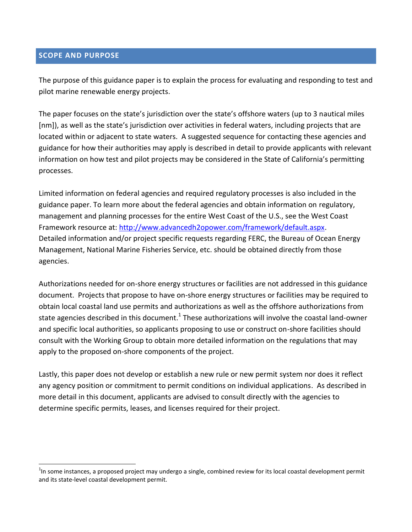### **SCOPE AND PURPOSE**

 $\overline{a}$ 

The purpose of this guidance paper is to explain the process for evaluating and responding to test and pilot marine renewable energy projects.

The paper focuses on the state's jurisdiction over the state's offshore waters (up to 3 nautical miles [nm]), as well as the state's jurisdiction over activities in federal waters, including projects that are located within or adjacent to state waters. A suggested sequence for contacting these agencies and guidance for how their authorities may apply is described in detail to provide applicants with relevant information on how test and pilot projects may be considered in the State of California's permitting processes.

Limited information on federal agencies and required regulatory processes is also included in the guidance paper. To learn more about the federal agencies and obtain information on regulatory, management and planning processes for the entire West Coast of the U.S., see the West Coast Framework resource at: [http://www.advancedh2opower.com/framework/default.aspx.](http://www.advancedh2opower.com/framework/default.aspx) Detailed information and/or project specific requests regarding FERC, the Bureau of Ocean Energy Management, National Marine Fisheries Service, etc. should be obtained directly from those agencies.

Authorizations needed for on-shore energy structures or facilities are not addressed in this guidance document. Projects that propose to have on-shore energy structures or facilities may be required to obtain local coastal land use permits and authorizations as well as the offshore authorizations from state agencies described in this document.<sup>1</sup> These authorizations will involve the coastal land-owner and specific local authorities, so applicants proposing to use or construct on-shore facilities should consult with the Working Group to obtain more detailed information on the regulations that may apply to the proposed on-shore components of the project.

Lastly, this paper does not develop or establish a new rule or new permit system nor does it reflect any agency position or commitment to permit conditions on individual applications. As described in more detail in this document, applicants are advised to consult directly with the agencies to determine specific permits, leases, and licenses required for their project.

 $1$ n some instances, a proposed project may undergo a single, combined review for its local coastal development permit and its state-level coastal development permit.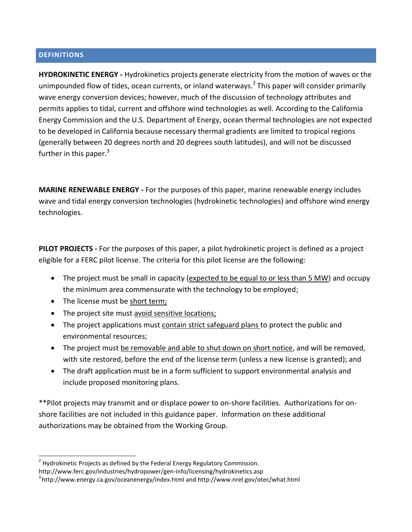#### **DEFINITIONS**

**HYDROKINETIC ENERGY -** Hydrokinetics projects generate electricity from the motion of waves or the unimpounded flow of tides, ocean currents, or inland waterways.<sup>2</sup> This paper will consider primarily wave energy conversion devices; however, much of the discussion of technology attributes and permits applies to tidal, current and offshore wind technologies as well. According to the California Energy Commission and the U.S. Department of Energy, ocean thermal technologies are not expected to be developed in California because necessary thermal gradients are limited to tropical regions (generally between 20 degrees north and 20 degrees south latitudes), and will not be discussed further in this paper. $3$ 

**MARINE RENEWABLE ENERGY -** For the purposes of this paper, marine renewable energy includes wave and tidal energy conversion technologies (hydrokinetic technologies) and offshore wind energy technologies.

**PILOT PROJECTS -** For the purposes of this paper, a pilot hydrokinetic project is defined as a project eligible for a FERC pilot license. The criteria for this pilot license are the following:

- The project must be small in capacity (expected to be equal to or less than 5 MW) and occupy the minimum area commensurate with the technology to be employed;
- The license must be short term;
- The project site must avoid sensitive locations;
- The project applications must contain strict safeguard plans to protect the public and environmental resources;
- The project must be removable and able to shut down on short notice, and will be removed, with site restored, before the end of the license term (unless a new license is granted); and
- The draft application must be in a form sufficient to support environmental analysis and include proposed monitoring plans.

\*\*Pilot projects may transmit and or displace power to on-shore facilities. Authorizations for onshore facilities are not included in this guidance paper. Information on these additional authorizations may be obtained from the Working Group.

 2 Hydrokinetic Projects as defined by the Federal Energy Regulatory Commission.

http://www.ferc.gov/industries/hydropower/gen-info/licensing/hydrokinetics.asp

 $^3$ <http://www.energy.ca.gov/oceanenergy/index.html> and<http://www.nrel.gov/otec/what.html>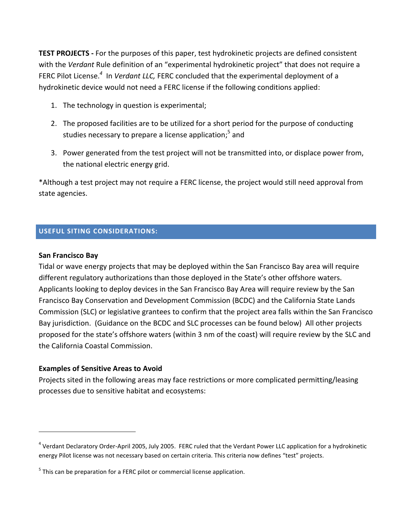**TEST PROJECTS -** For the purposes of this paper, test hydrokinetic projects are defined consistent with the *Verdant* Rule definition of an "experimental hydrokinetic project" that does not require a FERC Pilot License.<sup>4</sup> In *Verdant LLC,* FERC concluded that the experimental deployment of a hydrokinetic device would not need a FERC license if the following conditions applied:

- 1. The technology in question is experimental;
- 2. The proposed facilities are to be utilized for a short period for the purpose of conducting studies necessary to prepare a license application;<sup>5</sup> and
- 3. Power generated from the test project will not be transmitted into, or displace power from, the national electric energy grid.

\*Although a test project may not require a FERC license, the project would still need approval from state agencies.

### **USEFUL SITING CONSIDERATIONS:**

### **San Francisco Bay**

 $\overline{a}$ 

Tidal or wave energy projects that may be deployed within the San Francisco Bay area will require different regulatory authorizations than those deployed in the State's other offshore waters. Applicants looking to deploy devices in the San Francisco Bay Area will require review by the San Francisco Bay Conservation and Development Commission (BCDC) and the California State Lands Commission (SLC) or legislative grantees to confirm that the project area falls within the San Francisco Bay jurisdiction. (Guidance on the BCDC and SLC processes can be found below) All other projects proposed for the state's offshore waters (within 3 nm of the coast) will require review by the SLC and the California Coastal Commission.

### **Examples of Sensitive Areas to Avoid**

Projects sited in the following areas may face restrictions or more complicated permitting/leasing processes due to sensitive habitat and ecosystems:

<sup>&</sup>lt;sup>4</sup> Verdant Declaratory Order-April 2005, July 2005. FERC ruled that the Verdant Power LLC application for a hydrokinetic energy Pilot license was not necessary based on certain criteria. This criteria now defines "test" projects.

 $<sup>5</sup>$  This can be preparation for a FERC pilot or commercial license application.</sup>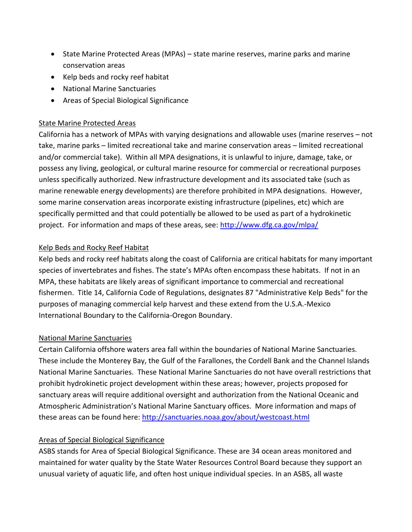- State Marine Protected Areas (MPAs) state marine reserves, marine parks and marine conservation areas
- Kelp beds and rocky reef habitat
- National Marine Sanctuaries
- Areas of Special Biological Significance

### State Marine Protected Areas

California has a network of MPAs with varying designations and allowable uses (marine reserves – not take, marine parks – limited recreational take and marine conservation areas – limited recreational and/or commercial take). Within all MPA designations, it is unlawful to injure, damage, take, or possess any living, geological, or cultural marine resource for commercial or recreational purposes unless specifically authorized. New infrastructure development and its associated take (such as marine renewable energy developments) are therefore prohibited in MPA designations. However, some marine conservation areas incorporate existing infrastructure (pipelines, etc) which are specifically permitted and that could potentially be allowed to be used as part of a hydrokinetic project. For information and maps of these areas, see:<http://www.dfg.ca.gov/mlpa/>

### Kelp Beds and Rocky Reef Habitat

Kelp beds and rocky reef habitats along the coast of California are critical habitats for many important species of invertebrates and fishes. The state's MPAs often encompass these habitats. If not in an MPA, these habitats are likely areas of significant importance to commercial and recreational fishermen. Title 14, California Code of Regulations, designates 87 "Administrative Kelp Beds" for the purposes of managing commercial kelp harvest and these extend from the U.S.A.-Mexico International Boundary to the California-Oregon Boundary.

### National Marine Sanctuaries

Certain California offshore waters area fall within the boundaries of National Marine Sanctuaries. These include the Monterey Bay, the Gulf of the Farallones, the Cordell Bank and the Channel Islands National Marine Sanctuaries. These National Marine Sanctuaries do not have overall restrictions that prohibit hydrokinetic project development within these areas; however, projects proposed for sanctuary areas will require additional oversight and authorization from the National Oceanic and Atmospheric Administration's National Marine Sanctuary offices. More information and maps of these areas can be found here:<http://sanctuaries.noaa.gov/about/westcoast.html>

### Areas of Special Biological Significance

ASBS stands for Area of Special Biological Significance. These are 34 ocean areas monitored and maintained for water quality by the [State Water Resources Control Board](http://www.waterboards.ca.gov/water_issues/programs/ocean/asbs.shtml) because they support an unusual variety of aquatic life, and often host unique individual species. In an ASBS, all waste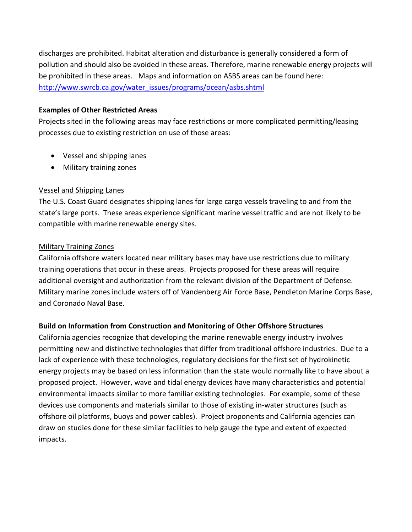discharges are prohibited. Habitat alteration and disturbance is generally considered a form of pollution and should also be avoided in these areas. Therefore, marine renewable energy projects will be prohibited in these areas. Maps and information on ASBS areas can be found here: [http://www.swrcb.ca.gov/water\\_issues/programs/ocean/asbs.shtml](http://www.swrcb.ca.gov/water_issues/programs/ocean/asbs.shtml)

### **Examples of Other Restricted Areas**

Projects sited in the following areas may face restrictions or more complicated permitting/leasing processes due to existing restriction on use of those areas:

- Vessel and shipping lanes
- Military training zones

### Vessel and Shipping Lanes

The U.S. Coast Guard designates shipping lanes for large cargo vessels traveling to and from the state's large ports. These areas experience significant marine vessel traffic and are not likely to be compatible with marine renewable energy sites.

### Military Training Zones

California offshore waters located near military bases may have use restrictions due to military training operations that occur in these areas. Projects proposed for these areas will require additional oversight and authorization from the relevant division of the Department of Defense. Military marine zones include waters off of Vandenberg Air Force Base, Pendleton Marine Corps Base, and Coronado Naval Base.

### **Build on Information from Construction and Monitoring of Other Offshore Structures**

California agencies recognize that developing the marine renewable energy industry involves permitting new and distinctive technologies that differ from traditional offshore industries. Due to a lack of experience with these technologies, regulatory decisions for the first set of hydrokinetic energy projects may be based on less information than the state would normally like to have about a proposed project. However, wave and tidal energy devices have many characteristics and potential environmental impacts similar to more familiar existing technologies. For example, some of these devices use components and materials similar to those of existing in-water structures (such as offshore oil platforms, buoys and power cables). Project proponents and California agencies can draw on studies done for these similar facilities to help gauge the type and extent of expected impacts.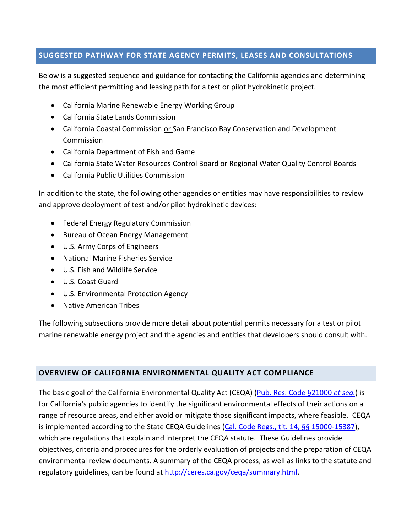### **SUGGESTED PATHWAY FOR STATE AGENCY PERMITS, LEASES AND CONSULTATIONS**

Below is a suggested sequence and guidance for contacting the California agencies and determining the most efficient permitting and leasing path for a test or pilot hydrokinetic project.

- California Marine Renewable Energy Working Group
- California State Lands Commission
- California Coastal Commission or San Francisco Bay Conservation and Development Commission
- California Department of Fish and Game
- California State Water Resources Control Board or Regional Water Quality Control Boards
- California Public Utilities Commission

In addition to the state, the following other agencies or entities may have responsibilities to review and approve deployment of test and/or pilot hydrokinetic devices:

- Federal Energy Regulatory Commission
- Bureau of Ocean Energy Management
- U.S. Army Corps of Engineers
- National Marine Fisheries Service
- U.S. Fish and Wildlife Service
- U.S. Coast Guard
- U.S. Environmental Protection Agency
- Native American Tribes

The following subsections provide more detail about potential permits necessary for a test or pilot marine renewable energy project and the agencies and entities that developers should consult with.

### **OVERVIEW OF CALIFORNIA ENVIRONMENTAL QUALITY ACT COMPLIANCE**

The basic goal of the California Environmental Quality Act (CEQA) [\(Pub. Res. Code §21000](http://ceres.ca.gov/ceqa/stat/) *et seq.*) is for California's public agencies to identify the significant environmental effects of their actions on a range of resource areas, and either avoid or mitigate those significant impacts, where feasible. CEQA is implemented according to the State CEQA Guidelines [\(Cal. Code Regs., tit. 14, §§ 15000-15387\)](http://ceres.ca.gov/ceqa/guidelines/), which are regulations that explain and interpret the CEQA statute. These Guidelines provide objectives, criteria and procedures for the orderly evaluation of projects and the preparation of CEQA environmental review documents. A summary of the CEQA process, as well as links to the statute and regulatory guidelines, can be found at [http://ceres.ca.gov/ceqa/summary.html.](http://ceres.ca.gov/ceqa/summary.html)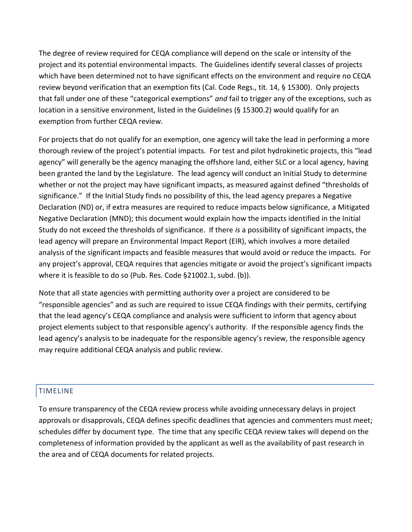The degree of review required for CEQA compliance will depend on the scale or intensity of the project and its potential environmental impacts. The Guidelines identify several classes of projects which have been determined not to have significant effects on the environment and require no CEQA review beyond verification that an exemption fits (Cal. Code Regs., tit. 14, § 15300). Only projects that fall under one of these "categorical exemptions" *and* fail to trigger any of the exceptions, such as location in a sensitive environment, listed in the Guidelines (§ 15300.2) would qualify for an exemption from further CEQA review.

For projects that do not qualify for an exemption, one agency will take the lead in performing a more thorough review of the project's potential impacts. For test and pilot hydrokinetic projects, this "lead agency" will generally be the agency managing the offshore land, either SLC or a local agency, having been granted the land by the Legislature. The lead agency will conduct an Initial Study to determine whether or not the project may have significant impacts, as measured against defined "thresholds of significance." If the Initial Study finds no possibility of this, the lead agency prepares a Negative Declaration (ND) or, if extra measures are required to reduce impacts below significance, a Mitigated Negative Declaration (MND); this document would explain how the impacts identified in the Initial Study do not exceed the thresholds of significance. If there *is* a possibility of significant impacts, the lead agency will prepare an Environmental Impact Report (EIR), which involves a more detailed analysis of the significant impacts and feasible measures that would avoid or reduce the impacts. For any project's approval, CEQA requires that agencies mitigate or avoid the project's significant impacts where it is feasible to do so (Pub. Res. Code §21002.1, subd. (b)).

Note that all state agencies with permitting authority over a project are considered to be "responsible agencies" and as such are required to issue CEQA findings with their permits, certifying that the lead agency's CEQA compliance and analysis were sufficient to inform that agency about project elements subject to that responsible agency's authority. If the responsible agency finds the lead agency's analysis to be inadequate for the responsible agency's review, the responsible agency may require additional CEQA analysis and public review.

### TIMELINE

To ensure transparency of the CEQA review process while avoiding unnecessary delays in project approvals or disapprovals, CEQA defines specific deadlines that agencies and commenters must meet; schedules differ by document type. The time that any specific CEQA review takes will depend on the completeness of information provided by the applicant as well as the availability of past research in the area and of CEQA documents for related projects.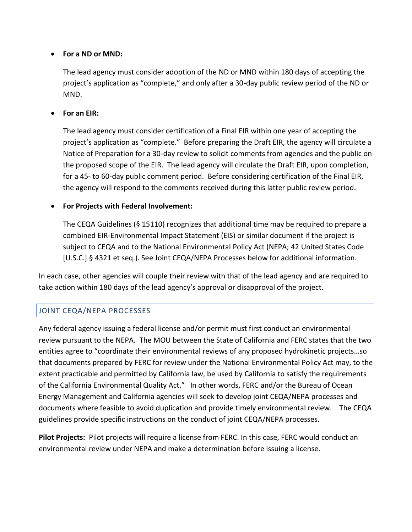### **For a ND or MND:**

The lead agency must consider adoption of the ND or MND within 180 days of accepting the project's application as "complete," and only after a 30-day public review period of the ND or MND.

### **For an EIR:**

The lead agency must consider certification of a Final EIR within one year of accepting the project's application as "complete." Before preparing the Draft EIR, the agency will circulate a Notice of Preparation for a 30-day review to solicit comments from agencies and the public on the proposed scope of the EIR. The lead agency will circulate the Draft EIR, upon completion, for a 45- to 60-day public comment period. Before considering certification of the Final EIR, the agency will respond to the comments received during this latter public review period.

### **For Projects with Federal Involvement:**

The CEQA Guidelines (§ 15110) recognizes that additional time may be required to prepare a combined EIR-Environmental Impact Statement (EIS) or similar document if the project is subject to CEQA and to the National Environmental Policy Act (NEPA; 42 United States Code [U.S.C.] § 4321 et seq.). See Joint CEQA/NEPA Processes below for additional information.

In each case, other agencies will couple their review with that of the lead agency and are required to take action within 180 days of the lead agency's approval or disapproval of the project.

# JOINT CEQA/NEPA PROCESSES

Any federal agency issuing a federal license and/or permit must first conduct an environmental review pursuant to the NEPA.The MOU between the State of California and FERC states that the two entities agree to "coordinate their environmental reviews of any proposed hydrokinetic projects…so that documents prepared by FERC for review under the National Environmental Policy Act may, to the extent practicable and permitted by California law, be used by California to satisfy the requirements of the California Environmental Quality Act." In other words, FERC and/or the Bureau of Ocean Energy Management and California agencies will seek to develop joint CEQA/NEPA processes and documents where feasible to avoid duplication and provide timely environmental review. The CEQA guidelines provide specific instructions on the conduct of joint CEQA/NEPA processes.

**Pilot Projects:** Pilot projects will require a license from FERC. In this case, FERC would conduct an environmental review under NEPA and make a determination before issuing a license.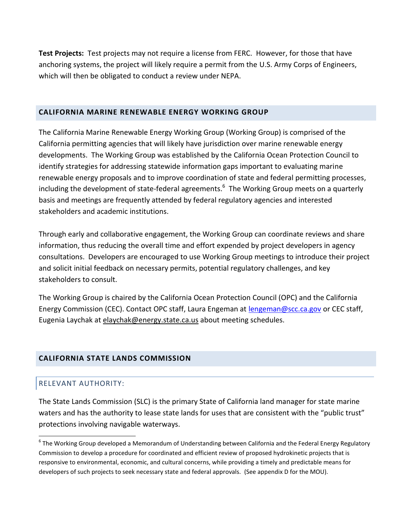**Test Projects:** Test projects may not require a license from FERC. However, for those that have anchoring systems, the project will likely require a permit from the U.S. Army Corps of Engineers, which will then be obligated to conduct a review under NEPA.

### **CALIFORNIA MARINE RENEWABLE ENERGY WORKING GROUP**

The California Marine Renewable Energy Working Group (Working Group) is comprised of the California permitting agencies that will likely have jurisdiction over marine renewable energy developments. The Working Group was established by the California Ocean Protection Council to identify strategies for addressing statewide information gaps important to evaluating marine renewable energy proposals and to improve coordination of state and federal permitting processes, including the development of state-federal agreements.<sup>6</sup> The Working Group meets on a quarterly basis and meetings are frequently attended by federal regulatory agencies and interested stakeholders and academic institutions.

Through early and collaborative engagement, the Working Group can coordinate reviews and share information, thus reducing the overall time and effort expended by project developers in agency consultations. Developers are encouraged to use Working Group meetings to introduce their project and solicit initial feedback on necessary permits, potential regulatory challenges, and key stakeholders to consult.

The Working Group is chaired by the California Ocean Protection Council (OPC) and the California Energy Commission (CEC). Contact OPC staff, Laura Engeman at **lengeman@scc.ca.gov** or CEC staff, Eugenia Laychak at elaychak@energy.state.ca.us about meeting schedules.

### **CALIFORNIA STATE LANDS COMMISSION**

### RELEVANT AUTHORITY:

 $\overline{a}$ 

The State Lands Commission (SLC) is the primary State of California land manager for state marine waters and has the authority to lease state lands for uses that are consistent with the "public trust" protections involving navigable waterways.

<sup>&</sup>lt;sup>6</sup> The Working Group developed a Memorandum of Understanding between California and the Federal Energy Regulatory Commission to develop a procedure for coordinated and efficient review of proposed hydrokinetic projects that is responsive to environmental, economic, and cultural concerns, while providing a timely and predictable means for developers of such projects to seek necessary state and federal approvals. (See appendix D for the MOU).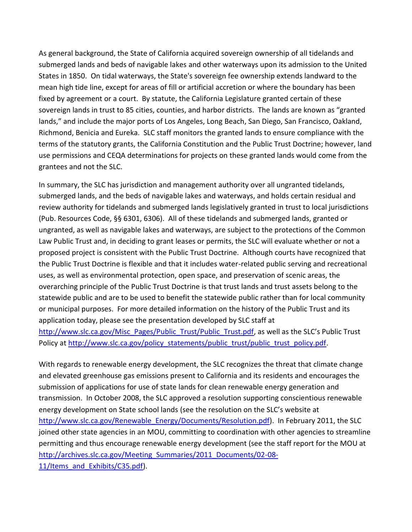As general background, the State of California acquired sovereign ownership of all tidelands and submerged lands and beds of navigable lakes and other waterways upon its admission to the United States in 1850. On tidal waterways, the State's sovereign fee ownership extends landward to the mean high tide line, except for areas of fill or artificial accretion or where the boundary has been fixed by agreement or a court. By statute, the California Legislature granted certain of these sovereign lands in trust to 85 cities, counties, and harbor districts. The lands are known as "granted lands," and include the major ports of Los Angeles, Long Beach, San Diego, San Francisco, Oakland, Richmond, Benicia and Eureka. SLC staff monitors the granted lands to ensure compliance with the terms of the statutory grants, the California Constitution and the Public Trust Doctrine; however, land use permissions and CEQA determinations for projects on these granted lands would come from the grantees and not the SLC.

In summary, the SLC has jurisdiction and management authority over all ungranted tidelands, submerged lands, and the beds of navigable lakes and waterways, and holds certain residual and review authority for tidelands and submerged lands legislatively granted in trust to local jurisdictions (Pub. Resources Code, §§ 6301, 6306). All of these tidelands and submerged lands, granted or ungranted, as well as navigable lakes and waterways, are subject to the protections of the Common Law Public Trust and, in deciding to grant leases or permits, the SLC will evaluate whether or not a proposed project is consistent with the Public Trust Doctrine. Although courts have recognized that the Public Trust Doctrine is flexible and that it includes water-related public serving and recreational uses, as well as environmental protection, open space, and preservation of scenic areas, the overarching principle of the Public Trust Doctrine is that trust lands and trust assets belong to the statewide public and are to be used to benefit the statewide public rather than for local community or municipal purposes. For more detailed information on the history of the Public Trust and its application today, please see the presentation developed by SLC staff at [http://www.slc.ca.gov/Misc\\_Pages/Public\\_Trust/Public\\_Trust.pdf,](http://www.slc.ca.gov/Misc_Pages/Public_Trust/Public_Trust.pdf) as well as the SLC's Public Trust Policy at [http://www.slc.ca.gov/policy\\_statements/public\\_trust/public\\_trust\\_policy.pdf.](http://www.slc.ca.gov/policy_statements/public_trust/public_trust_policy.pdf)

With regards to renewable energy development, the SLC recognizes the threat that climate change and elevated greenhouse gas emissions present to California and its residents and encourages the submission of applications for use of state lands for clean renewable energy generation and transmission. In October 2008, the SLC approved a resolution supporting conscientious renewable energy development on State school lands (see the resolution on the SLC's website at [http://www.slc.ca.gov/Renewable\\_Energy/Documents/Resolution.pdf\)](http://www.slc.ca.gov/Renewable_Energy/Documents/Resolution.pdf). In February 2011, the SLC joined other state agencies in an MOU, committing to coordination with other agencies to streamline permitting and thus encourage renewable energy development (see the staff report for the MOU at [http://archives.slc.ca.gov/Meeting\\_Summaries/2011\\_Documents/02-08-](http://archives.slc.ca.gov/Meeting_Summaries/2011_Documents/02-08-11/Items_and_Exhibits/C35.pdf) 11/Items and Exhibits/C35.pdf).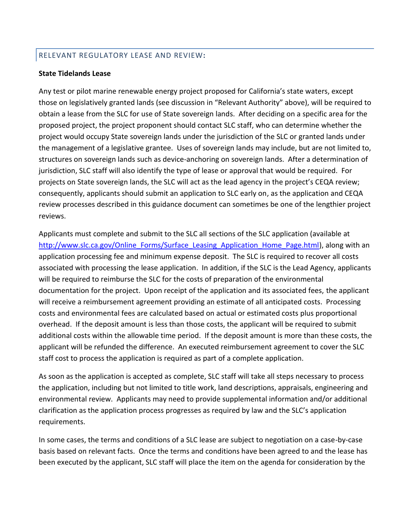### RELEVANT REGULATORY LEASE AND REVIEW**:**

#### **State Tidelands Lease**

Any test or pilot marine renewable energy project proposed for California's state waters, except those on legislatively granted lands (see discussion in "Relevant Authority" above), will be required to obtain a lease from the SLC for use of State sovereign lands. After deciding on a specific area for the proposed project, the project proponent should contact SLC staff, who can determine whether the project would occupy State sovereign lands under the jurisdiction of the SLC or granted lands under the management of a legislative grantee. Uses of sovereign lands may include, but are not limited to, structures on sovereign lands such as device-anchoring on sovereign lands. After a determination of jurisdiction, SLC staff will also identify the type of lease or approval that would be required. For projects on State sovereign lands, the SLC will act as the lead agency in the project's CEQA review; consequently, applicants should submit an application to SLC early on, as the application and CEQA review processes described in this guidance document can sometimes be one of the lengthier project reviews.

Applicants must complete and submit to the SLC all sections of the SLC application (available at [http://www.slc.ca.gov/Online\\_Forms/Surface\\_Leasing\\_Application\\_Home\\_Page.html\)](http://www.slc.ca.gov/Online_Forms/Surface_Leasing_Application_Home_Page.html), along with an application processing fee and minimum expense deposit. The SLC is required to recover all costs associated with processing the lease application. In addition, if the SLC is the Lead Agency, applicants will be required to reimburse the SLC for the costs of preparation of the environmental documentation for the project. Upon receipt of the application and its associated fees, the applicant will receive a reimbursement agreement providing an estimate of all anticipated costs. Processing costs and environmental fees are calculated based on actual or estimated costs plus proportional overhead. If the deposit amount is less than those costs, the applicant will be required to submit additional costs within the allowable time period. If the deposit amount is more than these costs, the applicant will be refunded the difference. An executed reimbursement agreement to cover the SLC staff cost to process the application is required as part of a complete application.

As soon as the application is accepted as complete, SLC staff will take all steps necessary to process the application, including but not limited to title work, land descriptions, appraisals, engineering and environmental review. Applicants may need to provide supplemental information and/or additional clarification as the application process progresses as required by law and the SLC's application requirements.

In some cases, the terms and conditions of a SLC lease are subject to negotiation on a case-by-case basis based on relevant facts. Once the terms and conditions have been agreed to and the lease has been executed by the applicant, SLC staff will place the item on the agenda for consideration by the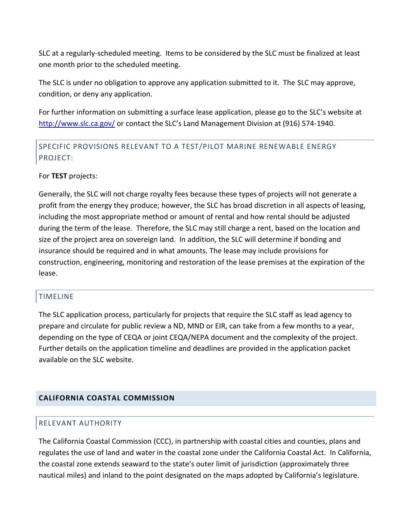SLC at a regularly-scheduled meeting. Items to be considered by the SLC must be finalized at least one month prior to the scheduled meeting.

The SLC is under no obligation to approve any application submitted to it. The SLC may approve, condition, or deny any application.

For further information on submitting a surface lease application, please go to the SLC's website at <http://www.slc.ca.gov/> or contact the SLC's Land Management Division at (916) 574-1940.

# SPECIFIC PROVISIONS RELEVANT TO A TEST/PILOT MARINE RENEWABLE ENERGY PROJECT:

### For **TEST** projects:

Generally, the SLC will not charge royalty fees because these types of projects will not generate a profit from the energy they produce; however, the SLC has broad discretion in all aspects of leasing, including the most appropriate method or amount of rental and how rental should be adjusted during the term of the lease. Therefore, the SLC may still charge a rent, based on the location and size of the project area on sovereign land. In addition, the SLC will determine if bonding and insurance should be required and in what amounts. The lease may include provisions for construction, engineering, monitoring and restoration of the lease premises at the expiration of the lease.

### TIMELINE

The SLC application process, particularly for projects that require the SLC staff as lead agency to prepare and circulate for public review a ND, MND or EIR, can take from a few months to a year, depending on the type of CEQA or joint CEQA/NEPA document and the complexity of the project. Further details on the application timeline and deadlines are provided in the application packet available on the SLC website.

### **CALIFORNIA COASTAL COMMISSION**

### RELEVANT AUTHORITY

The California Coastal Commission (CCC), in partnership with coastal cities and counties, plans and regulates the use of land and water in the coastal zone under the [California Coastal Act.](http://www.coastal.ca.gov/coastact.pdf) In California, the coastal zone extends seaward to the state's outer limit of jurisdiction (approximately three nautical miles) and inland to the point designated on the maps adopted by California's legislature.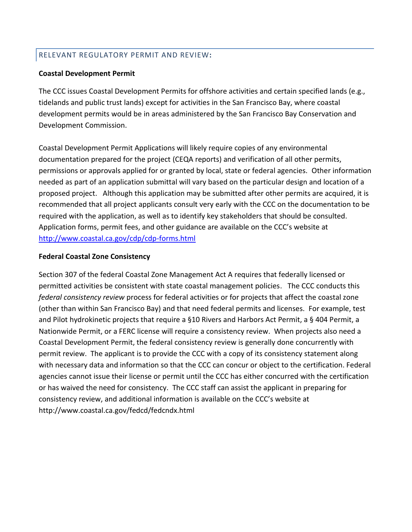### RELEVANT REGULATORY PERMIT AND REVIEW**:**

### **Coastal Development Permit**

The CCC issues Coastal Development Permits for offshore activities and certain specified lands (e.g., tidelands and public trust lands) except for activities in the San Francisco Bay, where coastal development permits would be in areas administered by the San Francisco Bay Conservation and Development Commission.

Coastal Development Permit Applications will likely require copies of any environmental documentation prepared for the project (CEQA reports) and verification of all other permits, permissions or approvals applied for or granted by local, state or federal agencies. Other information needed as part of an application submittal will vary based on the particular design and location of a proposed project. Although this application may be submitted after other permits are acquired, it is recommended that all project applicants consult very early with the CCC on the documentation to be required with the application, as well as to identify key stakeholders that should be consulted. Application forms, permit fees, and other guidance are available on the CCC's website at <http://www.coastal.ca.gov/cdp/cdp-forms.html>

### **Federal Coastal Zone Consistency**

Section 307 of the federal Coastal Zone Management Act A requires that federally licensed or permitted activities be consistent with state coastal management policies. The CCC conducts this *federal consistency review* process for federal activities or for projects that affect the coastal zone (other than within San Francisco Bay) and that need federal permits and licenses. For example, test and Pilot hydrokinetic projects that require a §10 Rivers and Harbors Act Permit, a § 404 Permit, a Nationwide Permit, or a FERC license will require a consistency review. When projects also need a Coastal Development Permit, the federal consistency review is generally done concurrently with permit review. The applicant is to provide the CCC with a copy of its consistency statement along with necessary data and information so that the CCC can concur or object to the certification. Federal agencies cannot issue their license or permit until the CCC has either concurred with the certification or has waived the need for consistency. The CCC staff can assist the applicant in preparing for consistency review, and additional information is available on the CCC's website at http://www.coastal.ca.gov/fedcd/fedcndx.html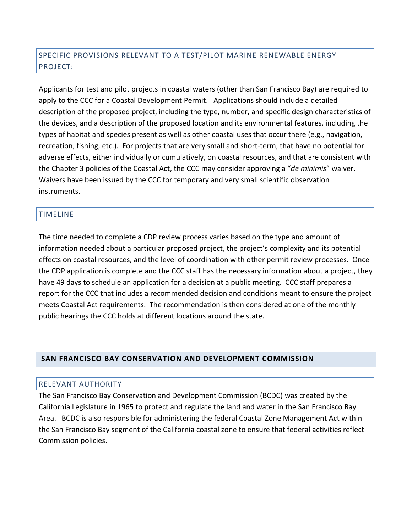# SPECIFIC PROVISIONS RELEVANT TO A TEST/PILOT MARINE RENEWABLE ENERGY PROJECT:

Applicants for test and pilot projects in coastal waters (other than San Francisco Bay) are required to apply to the CCC for a Coastal Development Permit. Applications should include a detailed description of the proposed project, including the type, number, and specific design characteristics of the devices, and a description of the proposed location and its environmental features, including the types of habitat and species present as well as other coastal uses that occur there (e.g., navigation, recreation, fishing, etc.). For projects that are very small and short-term, that have no potential for adverse effects, either individually or cumulatively, on coastal resources, and that are consistent with the Chapter 3 policies of the Coastal Act, the CCC may consider approving a "*de minimis*" waiver. Waivers have been issued by the CCC for temporary and very small scientific observation instruments.

### TIMELINE

The time needed to complete a CDP review process varies based on the type and amount of information needed about a particular proposed project, the project's complexity and its potential effects on coastal resources, and the level of coordination with other permit review processes. Once the CDP application is complete and the CCC staff has the necessary information about a project, they have 49 days to schedule an application for a decision at a public meeting. CCC staff prepares a report for the CCC that includes a recommended decision and conditions meant to ensure the project meets Coastal Act requirements. The recommendation is then considered at one of the monthly public hearings the CCC holds at different locations around the state.

### **SAN FRANCISCO BAY CONSERVATION AND DEVELOPMENT COMMISSION**

### RELEVANT AUTHORITY

The San Francisco Bay Conservation and Development Commission (BCDC) was created by the California Legislature in 1965 to protect and regulate the land and water in the San Francisco Bay Area. BCDC is also responsible for administering the federal Coastal Zone Management Act within the San Francisco Bay segment of the California coastal zone to ensure that federal activities reflect Commission policies.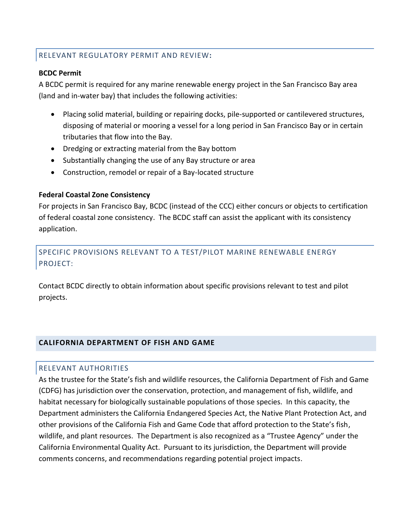### RELEVANT REGULATORY PERMIT AND REVIEW**:**

### **BCDC Permit**

A BCDC permit is required for any marine renewable energy project in the San Francisco Bay area (land and in-water bay) that includes the following activities:

- Placing solid material, building or repairing docks, pile-supported or cantilevered structures, disposing of material or mooring a vessel for a long period in San Francisco Bay or in certain tributaries that flow into the Bay.
- Dredging or extracting material from the Bay bottom
- Substantially changing the use of any Bay structure or area
- Construction, remodel or repair of a Bay-located structure

### **Federal Coastal Zone Consistency**

For projects in San Francisco Bay, BCDC (instead of the CCC) either concurs or objects to certification of federal coastal zone consistency. The BCDC staff can assist the applicant with its consistency application.

## SPECIFIC PROVISIONS RELEVANT TO A TEST/PILOT MARINE RENEWABLE ENERGY PROJECT:

Contact BCDC directly to obtain information about specific provisions relevant to test and pilot projects.

### **CALIFORNIA DEPARTMENT OF FISH AND GAME**

### RELEVANT AUTHORITIES

As the trustee for the State's fish and wildlife resources, the California Department of Fish and Game (CDFG) has jurisdiction over the conservation, protection, and management of fish, wildlife, and habitat necessary for biologically sustainable populations of those species. In this capacity, the Department administers the California Endangered Species Act, the Native Plant Protection Act, and other provisions of the California Fish and Game Code that afford protection to the State's fish, wildlife, and plant resources. The Department is also recognized as a "Trustee Agency" under the California Environmental Quality Act. Pursuant to its jurisdiction, the Department will provide comments concerns, and recommendations regarding potential project impacts.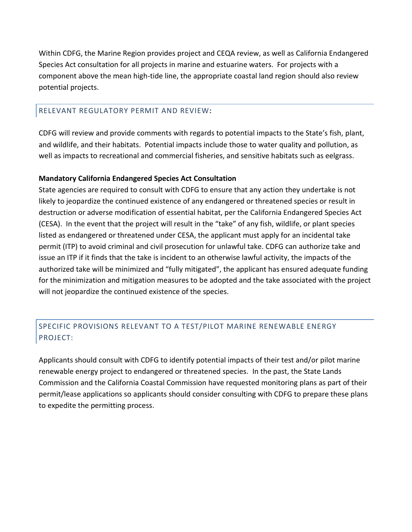Within CDFG, the Marine Region provides project and CEQA review, as well as California Endangered Species Act consultation for all projects in marine and estuarine waters. For projects with a component above the mean high-tide line, the appropriate coastal land region should also review potential projects.

### RELEVANT REGULATORY PERMIT AND REVIEW**:**

CDFG will review and provide comments with regards to potential impacts to the State's fish, plant, and wildlife, and their habitats. Potential impacts include those to water quality and pollution, as well as impacts to recreational and commercial fisheries, and sensitive habitats such as eelgrass.

### **Mandatory California Endangered Species Act Consultation**

State agencies are required to consult with CDFG to ensure that any action they undertake is not likely to jeopardize the continued existence of any endangered or threatened species or result in destruction or adverse modification of essential habitat, per the California Endangered Species Act (CESA). In the event that the project will result in the "take" of any fish, wildlife, or plant species listed as endangered or threatened under CESA, the applicant must apply for an incidental take permit (ITP) to avoid criminal and civil prosecution for unlawful take. CDFG can authorize take and issue an ITP if it finds that the take is incident to an otherwise lawful activity, the impacts of the authorized take will be minimized and "fully mitigated", the applicant has ensured adequate funding for the minimization and mitigation measures to be adopted and the take associated with the project will not jeopardize the continued existence of the species.

# SPECIFIC PROVISIONS RELEVANT TO A TEST/PILOT MARINE RENEWABLE ENERGY PROJECT:

Applicants should consult with CDFG to identify potential impacts of their test and/or pilot marine renewable energy project to endangered or threatened species. In the past, the State Lands Commission and the California Coastal Commission have requested monitoring plans as part of their permit/lease applications so applicants should consider consulting with CDFG to prepare these plans to expedite the permitting process.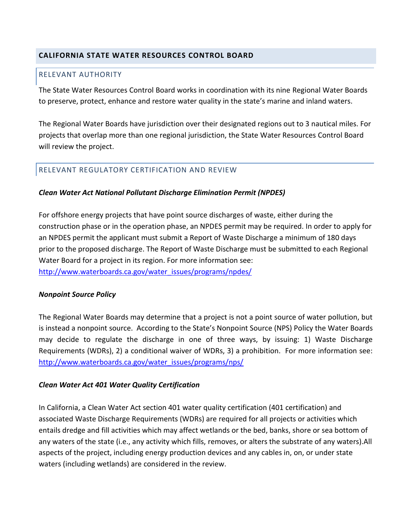### **CALIFORNIA STATE WATER RESOURCES CONTROL BOARD**

### RELEVANT AUTHORITY

The State Water Resources Control Board works in coordination with its nine Regional Water Boards to preserve, protect, enhance and restore water quality in the state's marine and inland waters.

The Regional Water Boards have jurisdiction over their designated regions out to 3 nautical miles. For projects that overlap more than one regional jurisdiction, the State Water Resources Control Board will review the project.

### RELEVANT REGULATORY CERTIFICATION AND REVIEW

### *Clean Water Act National Pollutant Discharge Elimination Permit (NPDES)*

For offshore energy projects that have point source discharges of waste, either during the construction phase or in the operation phase, an NPDES permit may be required. In order to apply for an NPDES permit the applicant must submit a Report of Waste Discharge a minimum of 180 days prior to the proposed discharge. The Report of Waste Discharge must be submitted to each Regional Water Board for a project in its region. For more information see: [http://www.waterboards.ca.gov/water\\_issues/programs/npdes/](http://www.waterboards.ca.gov/water_issues/programs/npdes/)

### *Nonpoint Source Policy*

The Regional Water Boards may determine that a project is not a point source of water pollution, but is instead a nonpoint source. According to the State's Nonpoint Source (NPS) Policy the Water Boards may decide to regulate the discharge in one of three ways, by issuing: 1) Waste Discharge Requirements (WDRs), 2) a conditional waiver of WDRs, 3) a prohibition. For more information see: [http://www.waterboards.ca.gov/water\\_issues/programs/nps/](http://www.waterboards.ca.gov/water_issues/programs/nps/)

### *Clean Water Act 401 Water Quality Certification*

In California, a Clean Water Act section 401 water quality certification (401 certification) and associated Waste Discharge Requirements (WDRs) are required for all projects or activities which entails dredge and fill activities which may affect wetlands or the bed, banks, shore or sea bottom of any waters of the state (i.e., any activity which fills, removes, or alters the substrate of any waters).All aspects of the project, including energy production devices and any cables in, on, or under state waters (including wetlands) are considered in the review.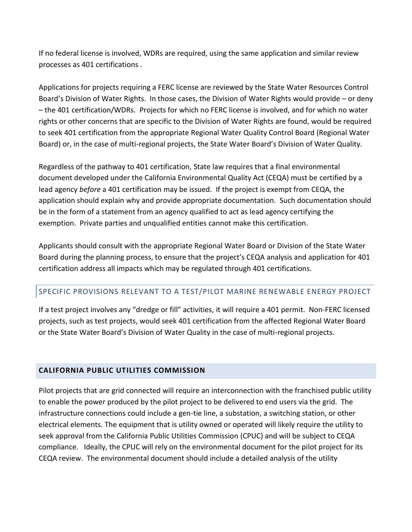If no federal license is involved, WDRs are required, using the same application and similar review processes as 401 certifications .

Applications for projects requiring a FERC license are reviewed by the State Water Resources Control Board's Division of Water Rights. In those cases, the Division of Water Rights would provide – or deny – the 401 certification/WDRs. Projects for which no FERC license is involved, and for which no water rights or other concerns that are specific to the Division of Water Rights are found, would be required to seek 401 certification from the appropriate Regional Water Quality Control Board (Regional Water Board) or, in the case of multi-regional projects, the State Water Board's Division of Water Quality.

Regardless of the pathway to 401 certification, State law requires that a final environmental document developed under the California Environmental Quality Act (CEQA) must be certified by a lead agency *before* a 401 certification may be issued. If the project is exempt from CEQA, the application should explain why and provide appropriate documentation. Such documentation should be in the form of a statement from an agency qualified to act as lead agency certifying the exemption. Private parties and unqualified entities cannot make this certification.

Applicants should consult with the appropriate Regional Water Board or Division of the State Water Board during the planning process, to ensure that the project's CEQA analysis and application for 401 certification address all impacts which may be regulated through 401 certifications.

### SPECIFIC PROVISIONS RELEVANT TO A TEST/PILOT MARINE RENEWABLE ENERGY PROJECT

If a test project involves any "dredge or fill" activities, it will require a 401 permit. Non-FERC licensed projects, such as test projects, would seek 401 certification from the affected Regional Water Board or the State Water Board's Division of Water Quality in the case of multi-regional projects.

### **CALIFORNIA PUBLIC UTILITIES COMMISSION**

Pilot projects that are grid connected will require an interconnection with the franchised public utility to enable the power produced by the pilot project to be delivered to end users via the grid. The infrastructure connections could include a gen-tie line, a substation, a switching station, or other electrical elements. The equipment that is utility owned or operated will likely require the utility to seek approval from the California Public Utilities Commission (CPUC) and will be subject to CEQA compliance. Ideally, the CPUC will rely on the environmental document for the pilot project for its CEQA review. The environmental document should include a detailed analysis of the utility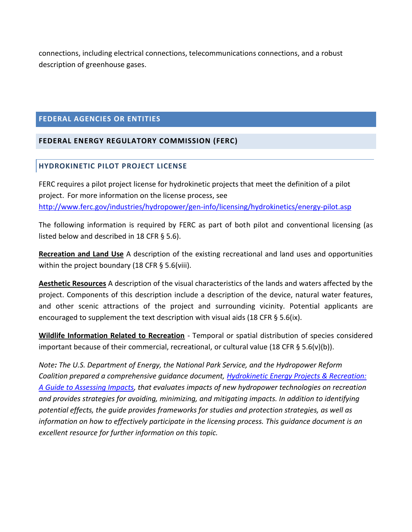connections, including electrical connections, telecommunications connections, and a robust description of greenhouse gases.

### **FEDERAL AGENCIES OR ENTITIES**

### **FEDERAL ENERGY REGULATORY COMMISSION (FERC)**

### **HYDROKINETIC PILOT PROJECT LICENSE**

FERC requires a pilot project license for hydrokinetic projects that meet the definition of a pilot project. For more information on the license process, see <http://www.ferc.gov/industries/hydropower/gen-info/licensing/hydrokinetics/energy-pilot.asp>

The following information is required by FERC as part of both pilot and conventional licensing (as listed below and described in 18 CFR § 5.6).

**Recreation and Land Use** A description of the existing recreational and land uses and opportunities within the project boundary (18 CFR § 5.6(viii).

**Aesthetic Resources** A description of the visual characteristics of the lands and waters affected by the project. Components of this description include a description of the device, natural water features, and other scenic attractions of the project and surrounding vicinity. Potential applicants are encouraged to supplement the text description with visual aids (18 CFR  $\S$  5.6(ix).

**Wildlife Information Related to Recreation** - Temporal or spatial distribution of species considered important because of their commercial, recreational, or cultural value (18 CFR § 5.6(v)(b)).

*Note: The U.S. Department of Energy, the National Park Service, and the Hydropower Reform Coalition prepared a comprehensive guidance document, [Hydrokinetic Energy Projects & Recreation:](http://www.hydroreform.org/hydroguide/hydrokinetic-recreation)  [A Guide to Assessing Impacts,](http://www.hydroreform.org/hydroguide/hydrokinetic-recreation) that evaluates impacts of new hydropower technologies on recreation and provides strategies for avoiding, minimizing, and mitigating impacts. In addition to identifying potential effects, the guide provides frameworks for studies and protection strategies, as well as information on how to effectively participate in the licensing process. This guidance document is an excellent resource for further information on this topic.*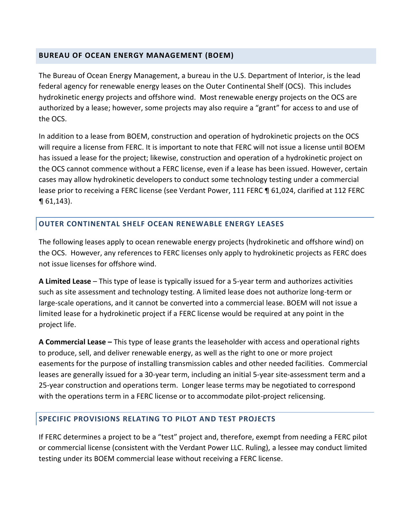### **BUREAU OF OCEAN ENERGY MANAGEMENT (BOEM)**

The Bureau of Ocean Energy Management, a bureau in the U.S. Department of Interior, is the lead federal agency for renewable energy leases on the Outer Continental Shelf (OCS). This includes hydrokinetic energy projects and offshore wind. Most renewable energy projects on the OCS are authorized by a lease; however, some projects may also require a "grant" for access to and use of the OCS.

In addition to a lease from BOEM, construction and operation of hydrokinetic projects on the OCS will require a license from FERC. It is important to note that FERC will not issue a license until BOEM has issued a lease for the project; likewise, construction and operation of a hydrokinetic project on the OCS cannot commence without a FERC license, even if a lease has been issued. However, certain cases may allow hydrokinetic developers to conduct some technology testing under a commercial lease prior to receiving a FERC license (see Verdant Power, 111 FERC ¶ 61,024, clarified at 112 FERC  $\P$  61,143).

### **OUTER CONTINENTAL SHELF OCEAN RENEWABLE ENERGY LEASES**

The following leases apply to ocean renewable energy projects (hydrokinetic and offshore wind) on the OCS. However, any references to FERC licenses only apply to hydrokinetic projects as FERC does not issue licenses for offshore wind.

**A Limited Lease** – This type of lease is typically issued for a 5-year term and authorizes activities such as site assessment and technology testing. A limited lease does not authorize long-term or large-scale operations, and it cannot be converted into a commercial lease. BOEM will not issue a limited lease for a hydrokinetic project if a FERC license would be required at any point in the project life.

**A Commercial Lease –** This type of lease grants the leaseholder with access and operational rights to produce, sell, and deliver renewable energy, as well as the right to one or more project easements for the purpose of installing transmission cables and other needed facilities. Commercial leases are generally issued for a 30-year term, including an initial 5-year site-assessment term and a 25-year construction and operations term. Longer lease terms may be negotiated to correspond with the operations term in a FERC license or to accommodate pilot-project relicensing.

### **SPECIFIC PROVISIONS RELATING TO PILOT AND TEST PROJECTS**

If FERC determines a project to be a "test" project and, therefore, exempt from needing a FERC pilot or commercial license (consistent with the Verdant Power LLC. Ruling), a lessee may conduct limited testing under its BOEM commercial lease without receiving a FERC license.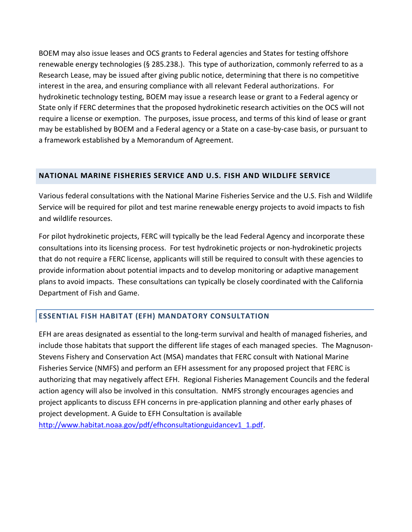BOEM may also issue leases and [OCS grants](http://www.advancedh2opower.com/framework/Hydrokinetics%20Knowledge%20Base/OCS%20grants.aspx) to Federal agencies and States for testing offshore renewable energy technologies (§ 285.238.). This type of authorization, commonly referred to as a Research Lease, may be issued after giving public notice, determining that there is no competitive interest in the area, and ensuring compliance with all relevant [Federal authorizations.](http://www.advancedh2opower.com/framework/Hydrokinetics%20Knowledge%20Base/Federal%20authorizations.aspx) For hydrokinetic technology testing, BOEM may issue a research lease or grant to a Federal agency or State only if FERC determines that the proposed hydrokinetic research activities on the OCS will not require a license or exemption. The purposes, issue process, and terms of this kind of lease or grant may be established by BOEM and a Federal agency or a State on a case-by-case basis, or pursuant to a framework established by a Memorandum of Agreement.

### **NATIONAL MARINE FISHERIES SERVICE AND U.S. FISH AND WILDLIFE SERVICE**

Various federal consultations with the National Marine Fisheries Service and the U.S. Fish and Wildlife Service will be required for pilot and test marine renewable energy projects to avoid impacts to fish and wildlife resources.

For pilot hydrokinetic projects, FERC will typically be the lead Federal Agency and incorporate these consultations into its licensing process. For test hydrokinetic projects or non-hydrokinetic projects that do not require a FERC license, applicants will still be required to consult with these agencies to provide information about potential impacts and to develop monitoring or adaptive management plans to avoid impacts. These consultations can typically be closely coordinated with the California Department of Fish and Game.

### **ESSENTIAL FISH HABITAT (EFH) MANDATORY CONSULTATION**

EFH are areas designated as essential to the long-term survival and health of managed fisheries, and include those habitats that support the different life stages of each managed species. The Magnuson-Stevens Fishery and Conservation Act (MSA) mandates that FERC consult with National Marine Fisheries Service (NMFS) and perform an EFH assessment for any proposed project that FERC is authorizing that may negatively affect EFH. Regional Fisheries Management Councils and the federal action agency will also be involved in this consultation. NMFS strongly encourages agencies and project applicants to discuss EFH concerns in pre-application planning and other early phases of project development. A Guide to EFH Consultation is available [http://www.habitat.noaa.gov/pdf/efhconsultationguidancev1\\_1.pdf.](http://www.habitat.noaa.gov/pdf/efhconsultationguidancev1_1.pdf)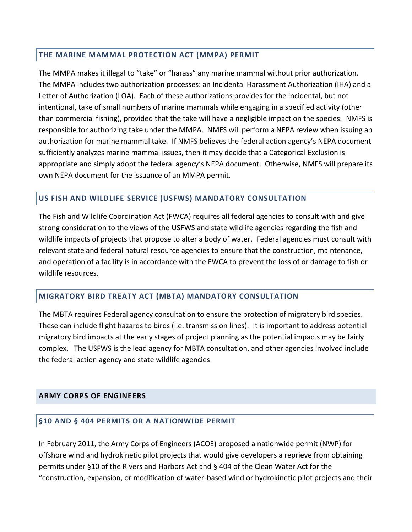### **THE MARINE MAMMAL PROTECTION ACT (MMPA) PERMIT**

The MMPA makes it illegal to "take" or "harass" any marine mammal without prior authorization. The MMPA includes two authorization processes: an Incidental Harassment Authorization (IHA) and a Letter of Authorization (LOA). Each of these authorizations provides for the incidental, but not intentional, take of small numbers of marine mammals while engaging in a specified activity (other than commercial fishing), provided that the take will have a negligible impact on the species. NMFS is responsible for authorizing take under the MMPA. NMFS will perform a NEPA review when issuing an authorization for marine mammal take. If NMFS believes the federal action agency's NEPA document sufficiently analyzes marine mammal issues, then it may decide that a Categorical Exclusion is appropriate and simply adopt the federal agency's NEPA document. Otherwise, NMFS will prepare its own NEPA document for the issuance of an MMPA permit.

### **US FISH AND WILDLIFE SERVICE (USFWS) MANDATORY CONSULTATION**

The Fish and Wildlife Coordination Act (FWCA) requires all federal agencies to consult with and give strong consideration to the views of the USFWS and state wildlife agencies regarding the fish and wildlife impacts of projects that propose to alter a body of water. Federal agencies must consult with relevant state and federal natural resource agencies to ensure that the construction, maintenance, and operation of a facility is in accordance with the FWCA to prevent the loss of or damage to fish or wildlife resources.

### **MIGRATORY BIRD TREATY ACT (MBTA) MANDATORY CONSULTATION**

The MBTA requires Federal agency consultation to ensure the protection of migratory bird species. These can include flight hazards to birds (i.e. transmission lines). It is important to address potential migratory bird impacts at the early stages of project planning as the potential impacts may be fairly complex. The USFWS is the lead agency for MBTA consultation, and other agencies involved include the federal action agency and state wildlife agencies.

### **ARMY CORPS OF ENGINEERS**

### **§10 AND § 404 PERMITS OR A NATIONWIDE PERMIT**

In February 2011, the Army Corps of Engineers (ACOE) proposed a nationwide permit (NWP) for offshore wind and hydrokinetic pilot projects that would give developers a reprieve from obtaining permits under §10 of the Rivers and Harbors Act and § 404 of the Clean Water Act for the "construction, expansion, or modification of water-based wind or hydrokinetic pilot projects and their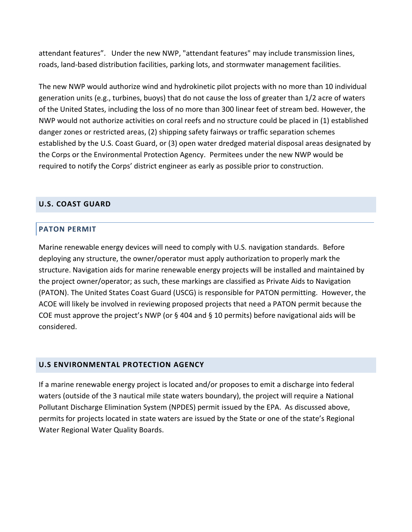attendant features". Under the new NWP, "attendant features" may include transmission lines, roads, land-based distribution facilities, parking lots, and stormwater management facilities.

The new NWP would authorize wind and hydrokinetic pilot projects with no more than 10 individual generation units (e.g., turbines, buoys) that do not cause the loss of greater than 1/2 acre of waters of the United States, including the loss of no more than 300 linear feet of stream bed. However, the NWP would not authorize activities on coral reefs and no structure could be placed in (1) established danger zones or restricted areas, (2) shipping safety fairways or traffic separation schemes established by the U.S. Coast Guard, or (3) open water dredged material disposal areas designated by the Corps or the Environmental Protection Agency. Permitees under the new NWP would be required to notify the Corps' district engineer as early as possible prior to construction.

### **U.S. COAST GUARD**

### **PATON PERMIT**

Marine renewable energy devices will need to comply with U.S. navigation standards. Before deploying any structure, the owner/operator must apply authorization to properly mark the structure. Navigation aids for marine renewable energy projects will be installed and maintained by the project owner/operator; as such, these markings are classified as Private Aids to Navigation (PATON). The United States Coast Guard (USCG) is responsible for PATON permitting. However, the ACOE will likely be involved in reviewing proposed projects that need a PATON permit because the COE must approve the project's NWP (or § 404 and § 10 permits) before navigational aids will be considered.

### **U.S ENVIRONMENTAL PROTECTION AGENCY**

If a marine renewable energy project is located and/or proposes to emit a discharge into federal waters (outside of the 3 nautical mile state waters boundary), the project will require a National Pollutant Discharge Elimination System (NPDES) permit issued by the EPA. As discussed above, permits for projects located in state waters are issued by the State or one of the state's Regional Water Regional Water Quality Boards.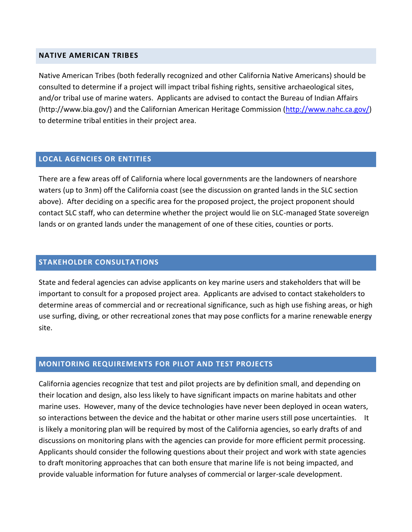#### **NATIVE AMERICAN TRIBES**

Native American Tribes (both federally recognized and other California Native Americans) should be consulted to determine if a project will impact tribal fishing rights, sensitive archaeological sites, and/or tribal use of marine waters. Applicants are advised to contact the Bureau of Indian Affairs (http://www.bia.gov/) and the Californian American Heritage Commission [\(http://www.nahc.ca.gov/\)](http://www.nahc.ca.gov/) to determine tribal entities in their project area.

### **LOCAL AGENCIES OR ENTITIES**

There are a few areas off of California where local governments are the landowners of nearshore waters (up to 3nm) off the California coast (see the discussion on granted lands in the SLC section above). After deciding on a specific area for the proposed project, the project proponent should contact SLC staff, who can determine whether the project would lie on SLC-managed State sovereign lands or on granted lands under the management of one of these cities, counties or ports.

### **STAKEHOLDER CONSULTATIONS**

State and federal agencies can advise applicants on key marine users and stakeholders that will be important to consult for a proposed project area. Applicants are advised to contact stakeholders to determine areas of commercial and or recreational significance, such as high use fishing areas, or high use surfing, diving, or other recreational zones that may pose conflicts for a marine renewable energy site.

### **MONITORING REQUIREMENTS FOR PILOT AND TEST PROJECTS**

California agencies recognize that test and pilot projects are by definition small, and depending on their location and design, also less likely to have significant impacts on marine habitats and other marine uses. However, many of the device technologies have never been deployed in ocean waters, so interactions between the device and the habitat or other marine users still pose uncertainties. It is likely a monitoring plan will be required by most of the California agencies, so early drafts of and discussions on monitoring plans with the agencies can provide for more efficient permit processing. Applicants should consider the following questions about their project and work with state agencies to draft monitoring approaches that can both ensure that marine life is not being impacted, and provide valuable information for future analyses of commercial or larger-scale development.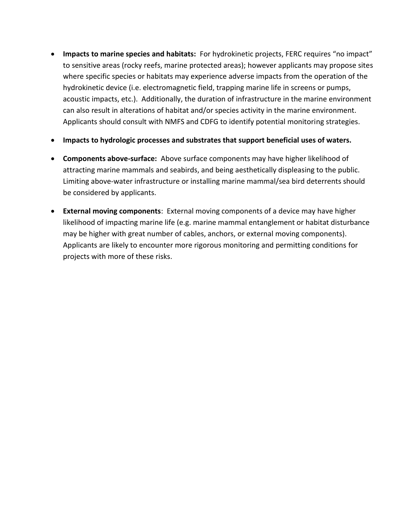- **Impacts to marine species and habitats:** For hydrokinetic projects, FERC requires "no impact" to sensitive areas (rocky reefs, marine protected areas); however applicants may propose sites where specific species or habitats may experience adverse impacts from the operation of the hydrokinetic device (i.e. electromagnetic field, trapping marine life in screens or pumps, acoustic impacts, etc.). Additionally, the duration of infrastructure in the marine environment can also result in alterations of habitat and/or species activity in the marine environment. Applicants should consult with NMFS and CDFG to identify potential monitoring strategies.
- **Impacts to hydrologic processes and substrates that support beneficial uses of waters.**
- **Components above-surface:** Above surface components may have higher likelihood of attracting marine mammals and seabirds, and being aesthetically displeasing to the public. Limiting above-water infrastructure or installing marine mammal/sea bird deterrents should be considered by applicants.
- **External moving components**: External moving components of a device may have higher likelihood of impacting marine life (e.g. marine mammal entanglement or habitat disturbance may be higher with great number of cables, anchors, or external moving components). Applicants are likely to encounter more rigorous monitoring and permitting conditions for projects with more of these risks.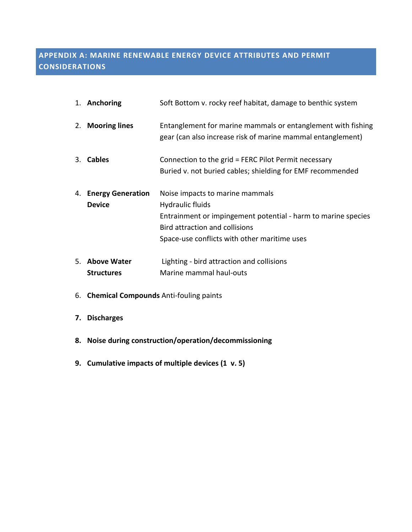# **APPENDIX A: MARINE RENEWABLE ENERGY DEVICE ATTRIBUTES AND PERMIT CONSIDERATIONS**

| 1. Anchoring                          | Soft Bottom v. rocky reef habitat, damage to benthic system                                                                                                                                            |
|---------------------------------------|--------------------------------------------------------------------------------------------------------------------------------------------------------------------------------------------------------|
| 2. Mooring lines                      | Entanglement for marine mammals or entanglement with fishing<br>gear (can also increase risk of marine mammal entanglement)                                                                            |
| 3. Cables                             | Connection to the grid = FERC Pilot Permit necessary                                                                                                                                                   |
|                                       | Buried v. not buried cables; shielding for EMF recommended                                                                                                                                             |
| 4. Energy Generation<br><b>Device</b> | Noise impacts to marine mammals<br>Hydraulic fluids<br>Entrainment or impingement potential - harm to marine species<br>Bird attraction and collisions<br>Space-use conflicts with other maritime uses |
| 5. Above Water<br><b>Structures</b>   | Lighting - bird attraction and collisions<br>Marine mammal haul-outs                                                                                                                                   |

- 6. **Chemical Compounds** Anti-fouling paints
- **7. Discharges**
- **8. Noise during construction/operation/decommissioning**
- **9. Cumulative impacts of multiple devices (1 v. 5)**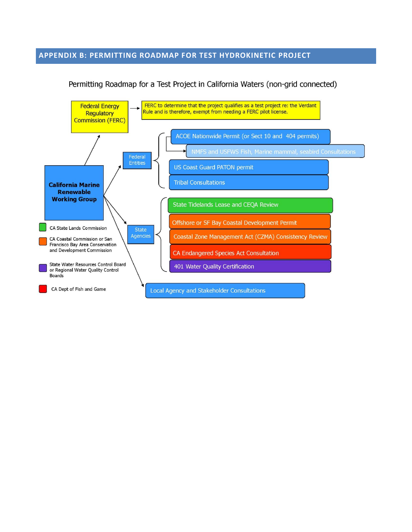#### **APPENDIX B: PERMITTING ROADMAP FOR TEST HYDROKINETIC PROJECT**



Permitting Roadmap for a Test Project in California Waters (non-grid connected)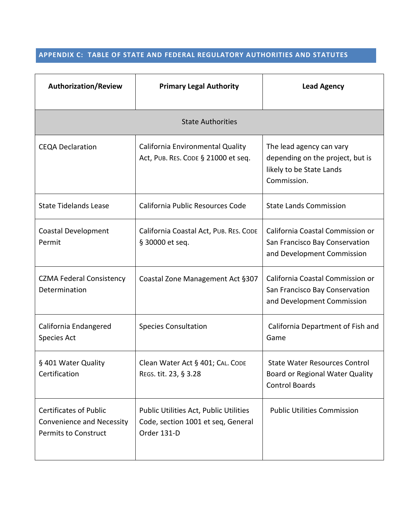### **APPENDIX C: TABLE OF STATE AND FEDERAL REGULATORY AUTHORITIES AND STATUTES**

| <b>Authorization/Review</b>                                                               | <b>Primary Legal Authority</b>                                                              | <b>Lead Agency</b>                                                                                      |  |  |  |  |
|-------------------------------------------------------------------------------------------|---------------------------------------------------------------------------------------------|---------------------------------------------------------------------------------------------------------|--|--|--|--|
| <b>State Authorities</b>                                                                  |                                                                                             |                                                                                                         |  |  |  |  |
| <b>CEQA Declaration</b>                                                                   | California Environmental Quality<br>Act, PUB. RES. CODE § 21000 et seq.                     | The lead agency can vary<br>depending on the project, but is<br>likely to be State Lands<br>Commission. |  |  |  |  |
| <b>State Tidelands Lease</b>                                                              | California Public Resources Code                                                            | <b>State Lands Commission</b>                                                                           |  |  |  |  |
| Coastal Development<br>Permit                                                             | California Coastal Act, PUB. RES. CODE<br>§ 30000 et seq.                                   | California Coastal Commission or<br>San Francisco Bay Conservation<br>and Development Commission        |  |  |  |  |
| <b>CZMA Federal Consistency</b><br>Determination                                          | Coastal Zone Management Act §307                                                            | California Coastal Commission or<br>San Francisco Bay Conservation<br>and Development Commission        |  |  |  |  |
| California Endangered<br><b>Species Act</b>                                               | <b>Species Consultation</b>                                                                 | California Department of Fish and<br>Game                                                               |  |  |  |  |
| § 401 Water Quality<br>Certification                                                      | Clean Water Act § 401; CAL. CODE<br>REGS. tit. 23, § 3.28                                   | <b>State Water Resources Control</b><br>Board or Regional Water Quality<br><b>Control Boards</b>        |  |  |  |  |
| <b>Certificates of Public</b><br>Convenience and Necessity<br><b>Permits to Construct</b> | Public Utilities Act, Public Utilities<br>Code, section 1001 et seq, General<br>Order 131-D | <b>Public Utilities Commission</b>                                                                      |  |  |  |  |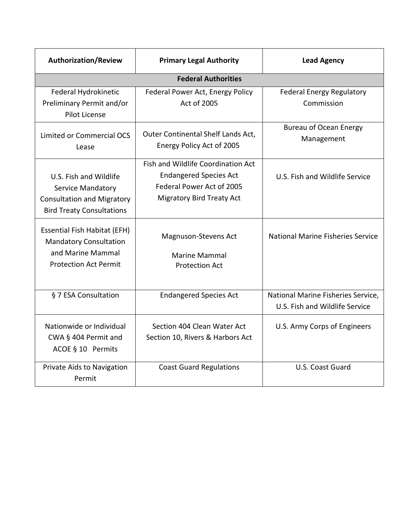| <b>Authorization/Review</b>                                                                                               | <b>Primary Legal Authority</b>                                                                                                       | <b>Lead Agency</b>                                                   |  |  |  |  |
|---------------------------------------------------------------------------------------------------------------------------|--------------------------------------------------------------------------------------------------------------------------------------|----------------------------------------------------------------------|--|--|--|--|
| <b>Federal Authorities</b>                                                                                                |                                                                                                                                      |                                                                      |  |  |  |  |
| Federal Hydrokinetic<br>Preliminary Permit and/or<br>Pilot License                                                        | Federal Power Act, Energy Policy<br>Act of 2005                                                                                      | <b>Federal Energy Regulatory</b><br>Commission                       |  |  |  |  |
| Limited or Commercial OCS<br>Lease                                                                                        | Outer Continental Shelf Lands Act,<br>Energy Policy Act of 2005                                                                      | Bureau of Ocean Energy<br>Management                                 |  |  |  |  |
| U.S. Fish and Wildlife<br>Service Mandatory<br><b>Consultation and Migratory</b><br><b>Bird Treaty Consultations</b>      | Fish and Wildlife Coordination Act<br><b>Endangered Species Act</b><br>Federal Power Act of 2005<br><b>Migratory Bird Treaty Act</b> | U.S. Fish and Wildlife Service                                       |  |  |  |  |
| <b>Essential Fish Habitat (EFH)</b><br><b>Mandatory Consultation</b><br>and Marine Mammal<br><b>Protection Act Permit</b> | Magnuson-Stevens Act<br><b>Marine Mammal</b><br><b>Protection Act</b>                                                                | <b>National Marine Fisheries Service</b>                             |  |  |  |  |
| § 7 ESA Consultation                                                                                                      | <b>Endangered Species Act</b>                                                                                                        | National Marine Fisheries Service,<br>U.S. Fish and Wildlife Service |  |  |  |  |
| Nationwide or Individual<br>CWA § 404 Permit and<br>ACOE § 10 Permits                                                     | Section 404 Clean Water Act<br>Section 10, Rivers & Harbors Act                                                                      | U.S. Army Corps of Engineers                                         |  |  |  |  |
| Private Aids to Navigation<br>Permit                                                                                      | <b>Coast Guard Regulations</b>                                                                                                       | U.S. Coast Guard                                                     |  |  |  |  |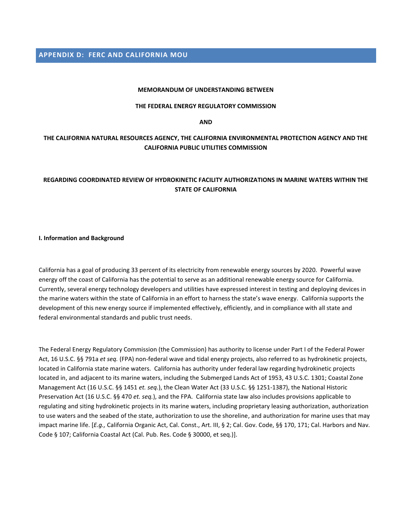**APPENDIX D: FERC AND CALIFORNIA MOU**

#### **MEMORANDUM OF UNDERSTANDING BETWEEN**

#### **THE FEDERAL ENERGY REGULATORY COMMISSION**

**AND**

#### **THE CALIFORNIA NATURAL RESOURCES AGENCY, THE CALIFORNIA ENVIRONMENTAL PROTECTION AGENCY AND THE CALIFORNIA PUBLIC UTILITIES COMMISSION**

#### **REGARDING COORDINATED REVIEW OF HYDROKINETIC FACILITY AUTHORIZATIONS IN MARINE WATERS WITHIN THE STATE OF CALIFORNIA**

**I. Information and Background**

California has a goal of producing 33 percent of its electricity from renewable energy sources by 2020. Powerful wave energy off the coast of California has the potential to serve as an additional renewable energy source for California. Currently, several energy technology developers and utilities have expressed interest in testing and deploying devices in the marine waters within the state of California in an effort to harness the state's wave energy. California supports the development of this new energy source if implemented effectively, efficiently, and in compliance with all state and federal environmental standards and public trust needs.

The Federal Energy Regulatory Commission (the Commission) has authority to license under Part I of the Federal Power Act, 16 U.S.C. §§ 791a *et seq.* (FPA) non-federal wave and tidal energy projects, also referred to as hydrokinetic projects, located in California state marine waters. California has authority under federal law regarding hydrokinetic projects located in, and adjacent to its marine waters, including the Submerged Lands Act of 1953, 43 U.S.C. 1301; Coastal Zone Management Act (16 U.S.C. §§ 1451 *et. seq.*), the Clean Water Act (33 U.S.C. §§ 1251-1387), the National Historic Preservation Act (16 U.S.C. §§ 470 *et. seq.*), and the FPA. California state law also includes provisions applicable to regulating and siting hydrokinetic projects in its marine waters, including proprietary leasing authorization, authorization to use waters and the seabed of the state, authorization to use the shoreline, and authorization for marine uses that may impact marine life. [*E.g.,* California Organic Act, Cal. Const., Art. III, § 2; Cal. Gov. Code, §§ 170, 171; Cal. Harbors and Nav. Code § 107; California Coastal Act (Cal. Pub. Res. Code § 30000, et seq.)].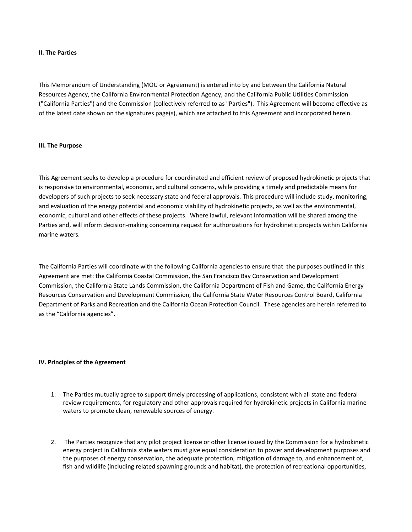#### **II. The Parties**

This Memorandum of Understanding (MOU or Agreement) is entered into by and between the California Natural Resources Agency, the California Environmental Protection Agency, and the California Public Utilities Commission ("California Parties") and the Commission (collectively referred to as "Parties"). This Agreement will become effective as of the latest date shown on the signatures page(s), which are attached to this Agreement and incorporated herein.

#### **III. The Purpose**

This Agreement seeks to develop a procedure for coordinated and efficient review of proposed hydrokinetic projects that is responsive to environmental, economic, and cultural concerns, while providing a timely and predictable means for developers of such projects to seek necessary state and federal approvals. This procedure will include study, monitoring, and evaluation of the energy potential and economic viability of hydrokinetic projects, as well as the environmental, economic, cultural and other effects of these projects. Where lawful, relevant information will be shared among the Parties and, will inform decision-making concerning request for authorizations for hydrokinetic projects within California marine waters.

The California Parties will coordinate with the following California agencies to ensure that the purposes outlined in this Agreement are met: the California Coastal Commission, the San Francisco Bay Conservation and Development Commission, the California State Lands Commission, the California Department of Fish and Game, the California Energy Resources Conservation and Development Commission, the California State Water Resources Control Board, California Department of Parks and Recreation and the California Ocean Protection Council. These agencies are herein referred to as the "California agencies".

#### **IV. Principles of the Agreement**

- 1. The Parties mutually agree to support timely processing of applications, consistent with all state and federal review requirements, for regulatory and other approvals required for hydrokinetic projects in California marine waters to promote clean, renewable sources of energy.
- 2. The Parties recognize that any pilot project license or other license issued by the Commission for a hydrokinetic energy project in California state waters must give equal consideration to power and development purposes and the purposes of energy conservation, the adequate protection, mitigation of damage to, and enhancement of, fish and wildlife (including related spawning grounds and habitat), the protection of recreational opportunities,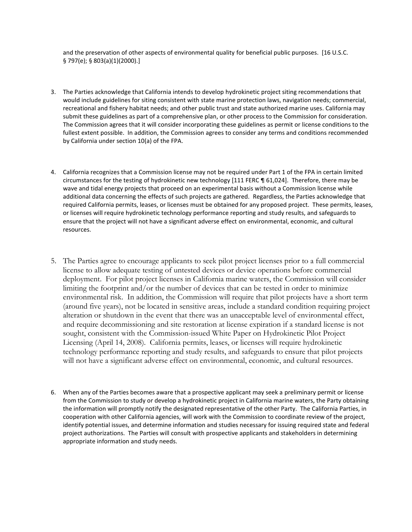and the preservation of other aspects of environmental quality for beneficial public purposes. [16 U.S.C. § 797(e); § 803(a)(1)(2000).]

- 3. The Parties acknowledge that California intends to develop hydrokinetic project siting recommendations that would include guidelines for siting consistent with state marine protection laws, navigation needs; commercial, recreational and fishery habitat needs; and other public trust and state authorized marine uses. California may submit these guidelines as part of a comprehensive plan, or other process to the Commission for consideration. The Commission agrees that it will consider incorporating these guidelines as permit or license conditions to the fullest extent possible. In addition, the Commission agrees to consider any terms and conditions recommended by California under section 10(a) of the FPA.
- 4. California recognizes that a Commission license may not be required under Part 1 of the FPA in certain limited circumstances for the testing of hydrokinetic new technology [111 FERC ¶ 61,024]. Therefore, there may be wave and tidal energy projects that proceed on an experimental basis without a Commission license while additional data concerning the effects of such projects are gathered. Regardless, the Parties acknowledge that required California permits, leases, or licenses must be obtained for any proposed project. These permits, leases, or licenses will require hydrokinetic technology performance reporting and study results, and safeguards to ensure that the project will not have a significant adverse effect on environmental, economic, and cultural resources.
- 5. The Parties agree to encourage applicants to seek pilot project licenses prior to a full commercial license to allow adequate testing of untested devices or device operations before commercial deployment. For pilot project licenses in California marine waters, the Commission will consider limiting the footprint and/or the number of devices that can be tested in order to minimize environmental risk. In addition, the Commission will require that pilot projects have a short term (around five years), not be located in sensitive areas, include a standard condition requiring project alteration or shutdown in the event that there was an unacceptable level of environmental effect, and require decommissioning and site restoration at license expiration if a standard license is not sought, consistent with the Commission-issued White Paper on Hydrokinetic Pilot Project Licensing (April 14, 2008). California permits, leases, or licenses will require hydrokinetic technology performance reporting and study results, and safeguards to ensure that pilot projects will not have a significant adverse effect on environmental, economic, and cultural resources.
- 6. When any of the Parties becomes aware that a prospective applicant may seek a preliminary permit or license from the Commission to study or develop a hydrokinetic project in California marine waters, the Party obtaining the information will promptly notify the designated representative of the other Party. The California Parties, in cooperation with other California agencies, will work with the Commission to coordinate review of the project, identify potential issues, and determine information and studies necessary for issuing required state and federal project authorizations. The Parties will consult with prospective applicants and stakeholders in determining appropriate information and study needs.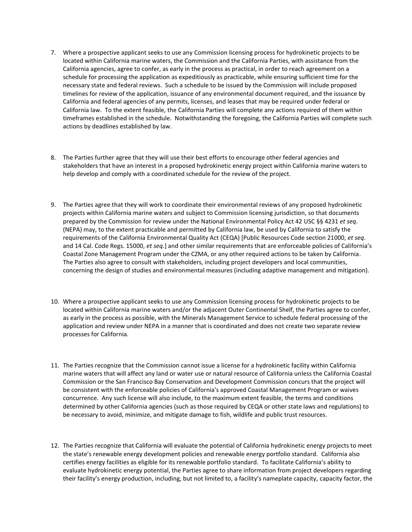- 7. Where a prospective applicant seeks to use any Commission licensing process for hydrokinetic projects to be located within California marine waters, the Commission and the California Parties, with assistance from the California agencies, agree to confer, as early in the process as practical, in order to reach agreement on a schedule for processing the application as expeditiously as practicable, while ensuring sufficient time for the necessary state and federal reviews. Such a schedule to be issued by the Commission will include proposed timelines for review of the application, issuance of any environmental document required, and the issuance by California and federal agencies of any permits, licenses, and leases that may be required under federal or California law. To the extent feasible, the California Parties will complete any actions required of them within timeframes established in the schedule. Notwithstanding the foregoing, the California Parties will complete such actions by deadlines established by law.
- 8. The Parties further agree that they will use their best efforts to encourage other federal agencies and stakeholders that have an interest in a proposed hydrokinetic energy project within California marine waters to help develop and comply with a coordinated schedule for the review of the project.
- 9. The Parties agree that they will work to coordinate their environmental reviews of any proposed hydrokinetic projects within California marine waters and subject to Commission licensing jurisdiction, so that documents prepared by the Commission for review under the National Environmental Policy Act 42 USC §§ 4231 *et seq*. (NEPA) may, to the extent practicable and permitted by California law, be used by California to satisfy the requirements of the California Environmental Quality Act (CEQA) [Public Resources Code section 21000, *et seq*. and 14 Cal. Code Regs. 15000, *et seq.*] and other similar requirements that are enforceable policies of California's Coastal Zone Management Program under the CZMA, or any other required actions to be taken by California. The Parties also agree to consult with stakeholders, including project developers and local communities, concerning the design of studies and environmental measures (including adaptive management and mitigation).
- 10. Where a prospective applicant seeks to use any Commission licensing process for hydrokinetic projects to be located within California marine waters and/or the adjacent Outer Continental Shelf, the Parties agree to confer, as early in the process as possible, with the Minerals Management Service to schedule federal processing of the application and review under NEPA in a manner that is coordinated and does not create two separate review processes for California.
- 11. The Parties recognize that the Commission cannot issue a license for a hydrokinetic facility within California marine waters that will affect any land or water use or natural resource of California unless the California Coastal Commission or the San Francisco Bay Conservation and Development Commission concurs that the project will be consistent with the enforceable policies of California's approved Coastal Management Program or waives concurrence. Any such license will also include, to the maximum extent feasible, the terms and conditions determined by other California agencies (such as those required by CEQA or other state laws and regulations) to be necessary to avoid, minimize, and mitigate damage to fish, wildlife and public trust resources.
- 12. The Parties recognize that California will evaluate the potential of California hydrokinetic energy projects to meet the state's renewable energy development policies and renewable energy portfolio standard. California also certifies energy facilities as eligible for its renewable portfolio standard. To facilitate California's ability to evaluate hydrokinetic energy potential, the Parties agree to share information from project developers regarding their facility's energy production, including, but not limited to, a facility's nameplate capacity, capacity factor, the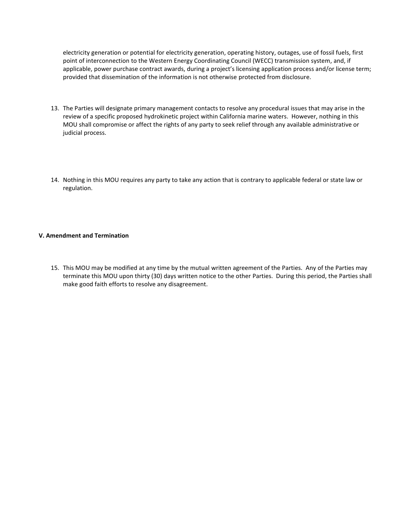electricity generation or potential for electricity generation, operating history, outages, use of fossil fuels, first point of interconnection to the Western Energy Coordinating Council (WECC) transmission system, and, if applicable, power purchase contract awards, during a project's licensing application process and/or license term; provided that dissemination of the information is not otherwise protected from disclosure.

- 13. The Parties will designate primary management contacts to resolve any procedural issues that may arise in the review of a specific proposed hydrokinetic project within California marine waters. However, nothing in this MOU shall compromise or affect the rights of any party to seek relief through any available administrative or judicial process.
- 14. Nothing in this MOU requires any party to take any action that is contrary to applicable federal or state law or regulation.

#### **V. Amendment and Termination**

15. This MOU may be modified at any time by the mutual written agreement of the Parties. Any of the Parties may terminate this MOU upon thirty (30) days written notice to the other Parties. During this period, the Parties shall make good faith efforts to resolve any disagreement.